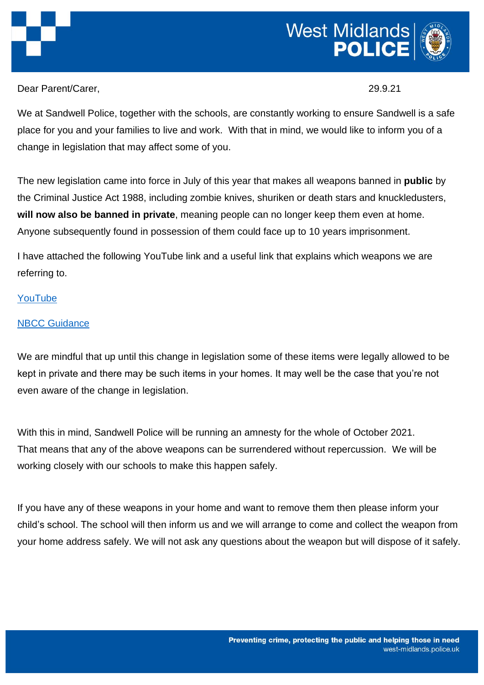

Dear Parent/Carer, 29.9.21

We at Sandwell Police, together with the schools, are constantly working to ensure Sandwell is a safe place for you and your families to live and work. With that in mind, we would like to inform you of a change in legislation that may affect some of you.

The new legislation came into force in July of this year that makes all weapons banned in **public** by the Criminal Justice Act 1988, including zombie knives, shuriken or death stars and knuckledusters, **will now also be banned in private**, meaning people can no longer keep them even at home. Anyone subsequently found in possession of them could face up to 10 years imprisonment.

I have attached the following YouTube link and a useful link that explains which weapons we are referring to.

## [YouTube](https://youtu.be/YiKSCEPcseE)

## [NBCC Guidance](https://nbcc.police.uk/guidance/offensive-weapons-act-2019)

We are mindful that up until this change in legislation some of these items were legally allowed to be kept in private and there may be such items in your homes. It may well be the case that you're not even aware of the change in legislation.

With this in mind, Sandwell Police will be running an amnesty for the whole of October 2021. That means that any of the above weapons can be surrendered without repercussion. We will be working closely with our schools to make this happen safely.

If you have any of these weapons in your home and want to remove them then please inform your child's school. The school will then inform us and we will arrange to come and collect the weapon from your home address safely. We will not ask any questions about the weapon but will dispose of it safely.